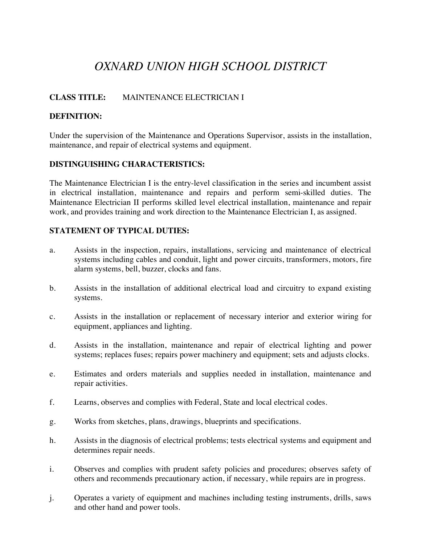# *OXNARD UNION HIGH SCHOOL DISTRICT*

## **CLASS TITLE:** MAINTENANCE ELECTRICIAN I

#### **DEFINITION:**

Under the supervision of the Maintenance and Operations Supervisor, assists in the installation, maintenance, and repair of electrical systems and equipment.

#### **DISTINGUISHING CHARACTERISTICS:**

The Maintenance Electrician I is the entry-level classification in the series and incumbent assist in electrical installation, maintenance and repairs and perform semi-skilled duties. The Maintenance Electrician II performs skilled level electrical installation, maintenance and repair work, and provides training and work direction to the Maintenance Electrician I, as assigned.

## **STATEMENT OF TYPICAL DUTIES:**

- a. Assists in the inspection, repairs, installations, servicing and maintenance of electrical systems including cables and conduit, light and power circuits, transformers, motors, fire alarm systems, bell, buzzer, clocks and fans.
- b. Assists in the installation of additional electrical load and circuitry to expand existing systems.
- c. Assists in the installation or replacement of necessary interior and exterior wiring for equipment, appliances and lighting.
- d. Assists in the installation, maintenance and repair of electrical lighting and power systems; replaces fuses; repairs power machinery and equipment; sets and adjusts clocks.
- e. Estimates and orders materials and supplies needed in installation, maintenance and repair activities.
- f. Learns, observes and complies with Federal, State and local electrical codes.
- g. Works from sketches, plans, drawings, blueprints and specifications.
- h. Assists in the diagnosis of electrical problems; tests electrical systems and equipment and determines repair needs.
- i. Observes and complies with prudent safety policies and procedures; observes safety of others and recommends precautionary action, if necessary, while repairs are in progress.
- j. Operates a variety of equipment and machines including testing instruments, drills, saws and other hand and power tools.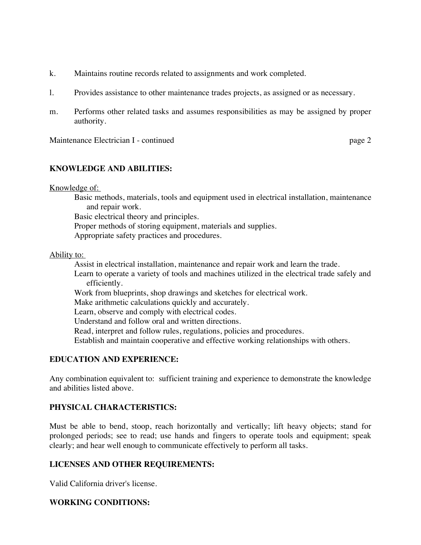- k. Maintains routine records related to assignments and work completed.
- l. Provides assistance to other maintenance trades projects, as assigned or as necessary.
- m. Performs other related tasks and assumes responsibilities as may be assigned by proper authority.

Maintenance Electrician I - continued page 2

## **KNOWLEDGE AND ABILITIES:**

Knowledge of:

 Basic methods, materials, tools and equipment used in electrical installation, maintenance and repair work.

Basic electrical theory and principles.

Proper methods of storing equipment, materials and supplies.

Appropriate safety practices and procedures.

Ability to:

Assist in electrical installation, maintenance and repair work and learn the trade.

 Learn to operate a variety of tools and machines utilized in the electrical trade safely and efficiently.

Work from blueprints, shop drawings and sketches for electrical work.

Make arithmetic calculations quickly and accurately.

Learn, observe and comply with electrical codes.

Understand and follow oral and written directions.

Read, interpret and follow rules, regulations, policies and procedures.

Establish and maintain cooperative and effective working relationships with others.

## **EDUCATION AND EXPERIENCE:**

Any combination equivalent to: sufficient training and experience to demonstrate the knowledge and abilities listed above.

## **PHYSICAL CHARACTERISTICS:**

Must be able to bend, stoop, reach horizontally and vertically; lift heavy objects; stand for prolonged periods; see to read; use hands and fingers to operate tools and equipment; speak clearly; and hear well enough to communicate effectively to perform all tasks.

## **LICENSES AND OTHER REQUIREMENTS:**

Valid California driver's license.

## **WORKING CONDITIONS:**